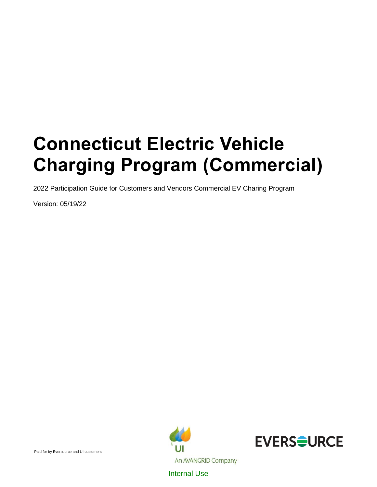# **Connecticut Electric Vehicle Charging Program (Commercial)**

2022 Participation Guide for Customers and Vendors Commercial EV Charing Program

Version: 05/19/22



Internal Use

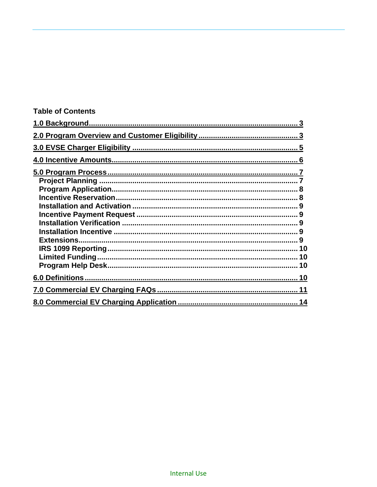| <b>Table of Contents</b> |  |
|--------------------------|--|
|                          |  |
|                          |  |
|                          |  |
|                          |  |
|                          |  |
|                          |  |
|                          |  |
|                          |  |
|                          |  |
|                          |  |
|                          |  |
|                          |  |
|                          |  |
|                          |  |
|                          |  |
|                          |  |
|                          |  |
|                          |  |
|                          |  |
|                          |  |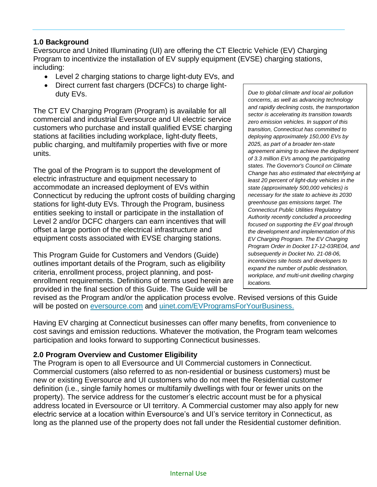# **1.0 Background**

Eversource and United Illuminating (UI) are offering the CT Electric Vehicle (EV) Charging Program to incentivize the installation of EV supply equipment (EVSE) charging stations, including:

- Level 2 charging stations to charge light-duty EVs, and
- Direct current fast chargers (DCFCs) to charge lightduty EVs.

The CT EV Charging Program (Program) is available for all commercial and industrial Eversource and UI electric service customers who purchase and install qualified EVSE charging stations at facilities including workplace, light-duty fleets, public charging, and multifamily properties with five or more units.

The goal of the Program is to support the development of electric infrastructure and equipment necessary to accommodate an increased deployment of EVs within Connecticut by reducing the upfront costs of building charging stations for light-duty EVs. Through the Program, business entities seeking to install or participate in the installation of Level 2 and/or DCFC chargers can earn incentives that will offset a large portion of the electrical infrastructure and equipment costs associated with EVSE charging stations.

This Program Guide for Customers and Vendors (Guide) outlines important details of the Program, such as eligibility criteria, enrollment process, project planning, and postenrollment requirements. Definitions of terms used herein are provided in the final section of this Guide. The Guide will be

*Due to global climate and local air pollution concerns, as well as advancing technology and rapidly declining costs, the transportation sector is accelerating its transition towards zero emission vehicles. In support of this transition, Connecticut has committed to deploying approximately 150,000 EVs by 2025, as part of a broader ten-state agreement aiming to achieve the deployment of 3.3 million EVs among the participating states. The Governor's Council on Climate Change has also estimated that electrifying at least 20 percent of light-duty vehicles in the state (approximately 500,000 vehicles) is necessary for the state to achieve its 2030 greenhouse gas emissions target. The Connecticut Public Utilities Regulatory Authority recently concluded a proceeding focused on supporting the EV goal through the development and implementation of this EV Charging Program. The EV Charging Program Order in Docket 17-12-03RE04, and subsequently in Docket No. 21-08-06, incentivizes site hosts and developers to expand the number of public destination, workplace, and multi-unit dwelling charging locations.*

revised as the Program and/or the application process evolve. Revised versions of this Guide will be posted on [eversource.com](https://www.eversource.com/content/ct-c/business/save-money-energy/clean-energy-options/business-ev-charging) and [uinet.com/EVProgramsForYourBusiness.](https://www.uinet.com/wps/portal/uinet/smartenergy/electric_vehicles/evprogramsforbusiness/!ut/p/z1/vZPJbsIwEIafpQeOkZ0FEo4hCkubhC37JXKDkxiRBcdQ-vY1EpRKbUlVqfXNo5nf38z8BjEIQVyhI8kRI3WFdvwexYNEFm1zqhjQ0WZKHy7na9t5slwJWhII7iYMZBD_pB5-c3TYVe-DGMRpxRpWgOhAKsxQTpNbDz1YYLTBtAfbElGGK0zz1x7EO5wyStLkiAuS7nDLQ8eG1jlFZZvV9PnQcq22Pas3KdmAaKMgeZBhSejjVBQUDWbCMIV9IVOwMhQlVdmo4jk7MOxkYs1HupUYc8c1QxdEPejNHNPVJ6vE-UA2vZCtz2Tmhcy8kvnvZKa_uJCNazq6kgVdq4nvDzY403bsrksj4gzqTQH6M5Er2GNlOZpLmqWC4EjwC_CqmpbcTevfjXPpmSv-0r9NdgrBY5fv-MeQqG3YOW8IsUIgVVaD8JOteOhLW_Fyst3vY52bt64YPjEQ_oF7m9LzSk0uhRBu-3mpnYRJsLD0hzfBqwx3/dz/d5/L2dBISEvZ0FBIS9nQSEh/?WCM_GLOBAL_CONTEXT=%2FUINETAGR_Navigation%2FHeader%2FSmartEnergy%2FElectric_Vehicles%2FEVProgramsForBusiness)

Having EV charging at Connecticut businesses can offer many benefits, from convenience to cost savings and emission reductions. Whatever the motivation, the Program team welcomes participation and looks forward to supporting Connecticut businesses.

# **2.0 Program Overview and Customer Eligibility**

The Program is open to all Eversource and UI Commercial customers in Connecticut. Commercial customers (also referred to as non-residential or business customers) must be new or existing Eversource and UI customers who do not meet the Residential customer definition (i.e., single family homes or multifamily dwellings with four or fewer units on the property). The service address for the customer's electric account must be for a physical address located in Eversource or UI territory. A Commercial customer may also apply for new electric service at a location within Eversource's and UI's service territory in Connecticut, as long as the planned use of the property does not fall under the Residential customer definition.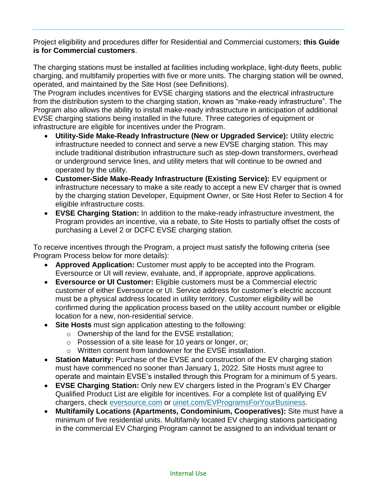Project eligibility and procedures differ for Residential and Commercial customers; **this Guide is for Commercial customers**.

The charging stations must be installed at facilities including workplace, light-duty fleets, public charging, and multifamily properties with five or more units. The charging station will be owned, operated, and maintained by the Site Host (see Definitions).

The Program includes incentives for EVSE charging stations and the electrical infrastructure from the distribution system to the charging station, known as "make-ready infrastructure". The Program also allows the ability to install make-ready infrastructure in anticipation of additional EVSE charging stations being installed in the future. Three categories of equipment or infrastructure are eligible for incentives under the Program.

- **Utility-Side Make-Ready Infrastructure (New or Upgraded Service):** Utility electric infrastructure needed to connect and serve a new EVSE charging station. This may include traditional distribution infrastructure such as step-down transformers, overhead or underground service lines, and utility meters that will continue to be owned and operated by the utility.
- **Customer-Side Make-Ready Infrastructure (Existing Service):** EV equipment or infrastructure necessary to make a site ready to accept a new EV charger that is owned by the charging station Developer, Equipment Owner, or Site Host Refer to Section 4 for eligible infrastructure costs.
- **EVSE Charging Station:** In addition to the make-ready infrastructure investment, the Program provides an incentive, via a rebate, to Site Hosts to partially offset the costs of purchasing a Level 2 or DCFC EVSE charging station.

To receive incentives through the Program, a project must satisfy the following criteria (see Program Process below for more details):

- **Approved Application:** Customer must apply to be accepted into the Program. Eversource or UI will review, evaluate, and, if appropriate, approve applications.
- **Eversource or UI Customer:** Eligible customers must be a Commercial electric customer of either Eversource or UI. Service address for customer's electric account must be a physical address located in utility territory. Customer eligibility will be confirmed during the application process based on the utility account number or eligible location for a new, non-residential service.
- **Site Hosts** must sign application attesting to the following:
	- o Ownership of the land for the EVSE installation;
	- o Possession of a site lease for 10 years or longer, or;
	- o Written consent from landowner for the EVSE installation.
- **Station Maturity:** Purchase of the EVSE and construction of the EV charging station must have commenced no sooner than January 1, 2022. Site Hosts must agree to operate and maintain EVSE's installed through this Program for a minimum of 5 years.
- **EVSE Charging Station:** Only new EV chargers listed in the Program's EV Charger Qualified Product List are eligible for incentives. For a complete list of qualifying EV chargers, check [eversource.com](https://www.eversource.com/content/ct-c/business/save-money-energy/clean-energy-options/business-ev-charging) or [uinet.com/EVProgramsForYourBusiness.](https://www.uinet.com/wps/portal/uinet/smartenergy/electric_vehicles/evprogramsforbusiness/!ut/p/z1/vZPJbsIwEIafpQeOkZ0FEo4hCkubhC37JXKDkxiRBcdQ-vY1EpRKbUlVqfXNo5nf38z8BjEIQVyhI8kRI3WFdvwexYNEFm1zqhjQ0WZKHy7na9t5slwJWhII7iYMZBD_pB5-c3TYVe-DGMRpxRpWgOhAKsxQTpNbDz1YYLTBtAfbElGGK0zz1x7EO5wyStLkiAuS7nDLQ8eG1jlFZZvV9PnQcq22Pas3KdmAaKMgeZBhSejjVBQUDWbCMIV9IVOwMhQlVdmo4jk7MOxkYs1HupUYc8c1QxdEPejNHNPVJ6vE-UA2vZCtz2Tmhcy8kvnvZKa_uJCNazq6kgVdq4nvDzY403bsrksj4gzqTQH6M5Er2GNlOZpLmqWC4EjwC_CqmpbcTevfjXPpmSv-0r9NdgrBY5fv-MeQqG3YOW8IsUIgVVaD8JOteOhLW_Fyst3vY52bt64YPjEQ_oF7m9LzSk0uhRBu-3mpnYRJsLD0hzfBqwx3/dz/d5/L2dBISEvZ0FBIS9nQSEh/?WCM_GLOBAL_CONTEXT=%2FUINETAGR_Navigation%2FHeader%2FSmartEnergy%2FElectric_Vehicles%2FEVProgramsForBusiness)
- **Multifamily Locations (Apartments, Condominium, Cooperatives):** Site must have a minimum of five residential units. Multifamily located EV charging stations participating in the commercial EV Charging Program cannot be assigned to an individual tenant or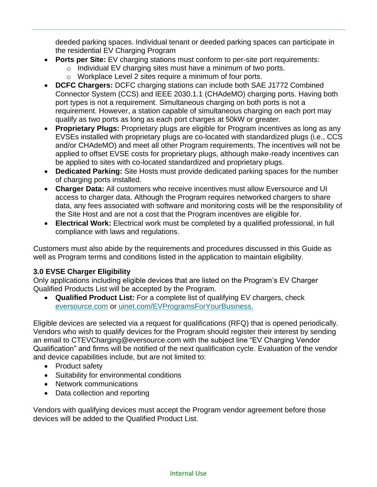deeded parking spaces. Individual tenant or deeded parking spaces can participate in the residential EV Charging Program

- **Ports per Site:** EV charging stations must conform to per-site port requirements:
	- o Individual EV charging sites must have a minimum of two ports.
	- o Workplace Level 2 sites require a minimum of four ports.
- **DCFC Chargers:** DCFC charging stations can include both SAE J1772 Combined Connector System (CCS) and IEEE 2030.1.1 (CHAdeMO) charging ports. Having both port types is not a requirement. Simultaneous charging on both ports is not a requirement. However, a station capable of simultaneous charging on each port may qualify as two ports as long as each port charges at 50kW or greater.
- **Proprietary Plugs:** Proprietary plugs are eligible for Program incentives as long as any EVSEs installed with proprietary plugs are co-located with standardized plugs (i.e., CCS and/or CHAdeMO) and meet all other Program requirements. The incentives will not be applied to offset EVSE costs for proprietary plugs, although make-ready incentives can be applied to sites with co-located standardized and proprietary plugs.
- **Dedicated Parking:** Site Hosts must provide dedicated parking spaces for the number of charging ports installed.
- **Charger Data:** All customers who receive incentives must allow Eversource and UI access to charger data. Although the Program requires networked chargers to share data, any fees associated with software and monitoring costs will be the responsibility of the Site Host and are not a cost that the Program incentives are eligible for.
- **Electrical Work:** Electrical work must be completed by a qualified professional, in full compliance with laws and regulations.

Customers must also abide by the requirements and procedures discussed in this Guide as well as Program terms and conditions listed in the application to maintain eligibility.

# **3.0 EVSE Charger Eligibility**

Only applications including eligible devices that are listed on the Program's EV Charger Qualified Products List will be accepted by the Program.

• **Qualified Product List:** For a complete list of qualifying EV chargers, check [eversource.com](https://www.eversource.com/content/ct-c/business/save-money-energy/clean-energy-options/business-ev-charging) or [uinet.com/EVProgramsForYourBusiness.](https://www.uinet.com/wps/portal/uinet/smartenergy/electric_vehicles/evprogramsforbusiness/!ut/p/z1/vZPJbsIwEIafpQeOkZ0FEo4hCkubhC37JXKDkxiRBcdQ-vY1EpRKbUlVqfXNo5nf38z8BjEIQVyhI8kRI3WFdvwexYNEFm1zqhjQ0WZKHy7na9t5slwJWhII7iYMZBD_pB5-c3TYVe-DGMRpxRpWgOhAKsxQTpNbDz1YYLTBtAfbElGGK0zz1x7EO5wyStLkiAuS7nDLQ8eG1jlFZZvV9PnQcq22Pas3KdmAaKMgeZBhSejjVBQUDWbCMIV9IVOwMhQlVdmo4jk7MOxkYs1HupUYc8c1QxdEPejNHNPVJ6vE-UA2vZCtz2Tmhcy8kvnvZKa_uJCNazq6kgVdq4nvDzY403bsrksj4gzqTQH6M5Er2GNlOZpLmqWC4EjwC_CqmpbcTevfjXPpmSv-0r9NdgrBY5fv-MeQqG3YOW8IsUIgVVaD8JOteOhLW_Fyst3vY52bt64YPjEQ_oF7m9LzSk0uhRBu-3mpnYRJsLD0hzfBqwx3/dz/d5/L2dBISEvZ0FBIS9nQSEh/?WCM_GLOBAL_CONTEXT=%2FUINETAGR_Navigation%2FHeader%2FSmartEnergy%2FElectric_Vehicles%2FEVProgramsForBusiness)

Eligible devices are selected via a request for qualifications (RFQ) that is opened periodically. Vendors who wish to qualify devices for the Program should register their interest by sending an email to CTEVCharging@eversource.com with the subject line "EV Charging Vendor Qualification" and firms will be notified of the next qualification cycle. Evaluation of the vendor and device capabilities include, but are not limited to:

- Product safety
- Suitability for environmental conditions
- Network communications
- Data collection and reporting

Vendors with qualifying devices must accept the Program vendor agreement before those devices will be added to the Qualified Product List.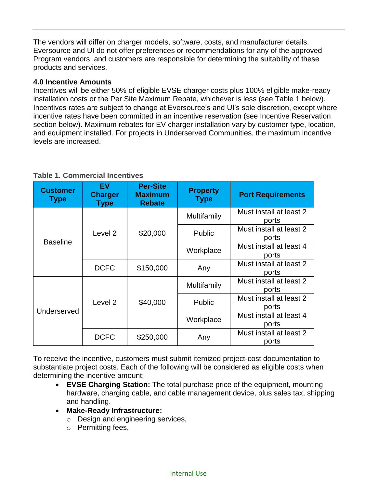The vendors will differ on charger models, software, costs, and manufacturer details. Eversource and UI do not offer preferences or recommendations for any of the approved Program vendors, and customers are responsible for determining the suitability of these products and services.

## **4.0 Incentive Amounts**

Incentives will be either 50% of eligible EVSE charger costs plus 100% eligible make-ready installation costs or the Per Site Maximum Rebate, whichever is less (see Table 1 below). Incentives rates are subject to change at Eversource's and UI's sole discretion, except where incentive rates have been committed in an incentive reservation (see Incentive Reservation section below). Maximum rebates for EV charger installation vary by customer type, location, and equipment installed. For projects in Underserved Communities, the maximum incentive levels are increased.

| <b>Customer</b><br><b>Type</b> | EV<br><b>Charger</b><br>Type | <b>Per-Site</b><br><b>Maximum</b><br><b>Rebate</b> | <b>Property</b><br><b>Type</b> | <b>Port Requirements</b>         |
|--------------------------------|------------------------------|----------------------------------------------------|--------------------------------|----------------------------------|
| <b>Baseline</b>                | Level <sub>2</sub>           | \$20,000                                           | Multifamily                    | Must install at least 2<br>ports |
|                                |                              |                                                    | Public                         | Must install at least 2<br>ports |
|                                |                              |                                                    | Workplace                      | Must install at least 4<br>ports |
|                                | <b>DCFC</b>                  | \$150,000                                          | Any                            | Must install at least 2<br>ports |
| Underserved                    | Level <sub>2</sub>           | \$40,000                                           | Multifamily                    | Must install at least 2<br>ports |
|                                |                              |                                                    | Public                         | Must install at least 2<br>ports |
|                                |                              |                                                    | Workplace                      | Must install at least 4<br>ports |
|                                | <b>DCFC</b>                  | \$250,000                                          | Any                            | Must install at least 2<br>ports |

# **Table 1. Commercial Incentives**

To receive the incentive, customers must submit itemized project-cost documentation to substantiate project costs. Each of the following will be considered as eligible costs when determining the incentive amount:

- **EVSE Charging Station:** The total purchase price of the equipment, mounting hardware, charging cable, and cable management device, plus sales tax, shipping and handling.
- **Make-Ready Infrastructure:**
	- o Design and engineering services,
	- o Permitting fees,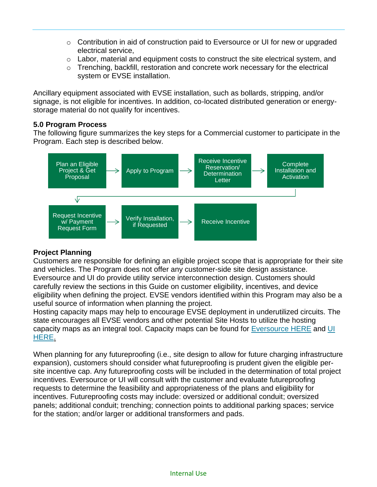- $\circ$  Contribution in aid of construction paid to Eversource or UI for new or upgraded electrical service,
- $\circ$  Labor, material and equipment costs to construct the site electrical system, and
- o Trenching, backfill, restoration and concrete work necessary for the electrical system or EVSE installation.

Ancillary equipment associated with EVSE installation, such as bollards, stripping, and/or signage, is not eligible for incentives. In addition, co-located distributed generation or energystorage material do not qualify for incentives.

## **5.0 Program Process**

The following figure summarizes the key steps for a Commercial customer to participate in the Program. Each step is described below.



# **Project Planning**

Customers are responsible for defining an eligible project scope that is appropriate for their site and vehicles. The Program does not offer any customer-side site design assistance. Eversource and UI do provide utility service interconnection design. Customers should carefully review the sections in this Guide on customer eligibility, incentives, and device eligibility when defining the project. EVSE vendors identified within this Program may also be a useful source of information when planning the project.

Hosting capacity maps may help to encourage EVSE deployment in underutilized circuits. The state encourages all EVSE vendors and other potential Site Hosts to utilize the hosting capacity maps as an integral tool. Capacity maps can be found for [Eversource HERE](https://eversource.maps.arcgis.com/apps/webappviewer/index.html?id=6853bd7a3f714868bda7fee7c24d8c59) and [UI](https://www.arcgis.com/apps/webappviewer/index.html?id=b5fe4d1060b14b14893a880ddb1e10c8)  [HERE.](https://www.arcgis.com/apps/webappviewer/index.html?id=b5fe4d1060b14b14893a880ddb1e10c8)

When planning for any futureproofing (i.e., site design to allow for future charging infrastructure expansion), customers should consider what futureproofing is prudent given the eligible persite incentive cap. Any futureproofing costs will be included in the determination of total project incentives. Eversource or UI will consult with the customer and evaluate futureproofing requests to determine the feasibility and appropriateness of the plans and eligibility for incentives. Futureproofing costs may include: oversized or additional conduit; oversized panels; additional conduit; trenching; connection points to additional parking spaces; service for the station; and/or larger or additional transformers and pads.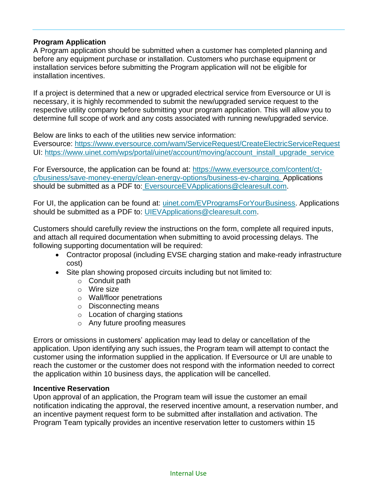## **Program Application**

A Program application should be submitted when a customer has completed planning and before any equipment purchase or installation. Customers who purchase equipment or installation services before submitting the Program application will not be eligible for installation incentives.

If a project is determined that a new or upgraded electrical service from Eversource or UI is necessary, it is highly recommended to submit the new/upgraded service request to the respective utility company before submitting your program application. This will allow you to determine full scope of work and any costs associated with running new/upgraded service.

Below are links to each of the utilities new service information:

Eversource:<https://www.eversource.com/wam/ServiceRequest/CreateElectricServiceRequest> UI: [https://www.uinet.com/wps/portal/uinet/account/moving/account\\_install\\_upgrade\\_service](https://www.uinet.com/wps/portal/uinet/account/moving/account_install_upgrade_service)

For Eversource, the application can be found at: [https://www.eversource.com/content/ct](https://www.eversource.com/content/ct-c/business/save-money-energy/clean-energy-options/business-ev-charging)[c/business/save-money-energy/clean-energy-options/business-ev-charging.](https://www.eversource.com/content/ct-c/business/save-money-energy/clean-energy-options/business-ev-charging) Applications should be submitted as a PDF to: [EversourceEVApplications@clearesult.com.](mailto:EversourceEVApplications@clearesult.com)

For UI, the application can be found at: [uinet.com/EVProgramsForYourBusiness.](https://www.uinet.com/wps/portal/uinet/smartenergy/electric_vehicles/evprogramsforbusiness/!ut/p/z1/vZPJbsIwEIafpQeOkZ0FEo4hCkubhC37JXKDkxiRBcdQ-vY1EpRKbUlVqfXNo5nf38z8BjEIQVyhI8kRI3WFdvwexYNEFm1zqhjQ0WZKHy7na9t5slwJWhII7iYMZBD_pB5-c3TYVe-DGMRpxRpWgOhAKsxQTpNbDz1YYLTBtAfbElGGK0zz1x7EO5wyStLkiAuS7nDLQ8eG1jlFZZvV9PnQcq22Pas3KdmAaKMgeZBhSejjVBQUDWbCMIV9IVOwMhQlVdmo4jk7MOxkYs1HupUYc8c1QxdEPejNHNPVJ6vE-UA2vZCtz2Tmhcy8kvnvZKa_uJCNazq6kgVdq4nvDzY403bsrksj4gzqTQH6M5Er2GNlOZpLmqWC4EjwC_CqmpbcTevfjXPpmSv-0r9NdgrBY5fv-MeQqG3YOW8IsUIgVVaD8JOteOhLW_Fyst3vY52bt64YPjEQ_oF7m9LzSk0uhRBu-3mpnYRJsLD0hzfBqwx3/dz/d5/L2dBISEvZ0FBIS9nQSEh/?WCM_GLOBAL_CONTEXT=%2FUINETAGR_Navigation%2FHeader%2FSmartEnergy%2FElectric_Vehicles%2FEVProgramsForBusiness) Applications should be submitted as a PDF to: [UIEVApplications@clearesult.com.](mailto:UIEVApplications@clearesult.com)

Customers should carefully review the instructions on the form, complete all required inputs, and attach all required documentation when submitting to avoid processing delays. The following supporting documentation will be required:

- Contractor proposal (including EVSE charging station and make-ready infrastructure cost)
- Site plan showing proposed circuits including but not limited to:
	- o Conduit path
	- $\circ$  Wire size
	- o Wall/floor penetrations
	- o Disconnecting means
	- o Location of charging stations
	- o Any future proofing measures

Errors or omissions in customers' application may lead to delay or cancellation of the application. Upon identifying any such issues, the Program team will attempt to contact the customer using the information supplied in the application. If Eversource or UI are unable to reach the customer or the customer does not respond with the information needed to correct the application within 10 business days, the application will be cancelled.

#### **Incentive Reservation**

Upon approval of an application, the Program team will issue the customer an email notification indicating the approval, the reserved incentive amount, a reservation number, and an incentive payment request form to be submitted after installation and activation. The Program Team typically provides an incentive reservation letter to customers within 15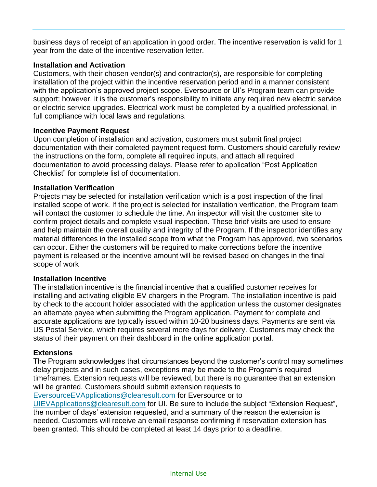business days of receipt of an application in good order. The incentive reservation is valid for 1 year from the date of the incentive reservation letter.

## **Installation and Activation**

Customers, with their chosen vendor(s) and contractor(s), are responsible for completing installation of the project within the incentive reservation period and in a manner consistent with the application's approved project scope. Eversource or UI's Program team can provide support; however, it is the customer's responsibility to initiate any required new electric service or electric service upgrades. Electrical work must be completed by a qualified professional, in full compliance with local laws and regulations.

# **Incentive Payment Request**

Upon completion of installation and activation, customers must submit final project documentation with their completed payment request form. Customers should carefully review the instructions on the form, complete all required inputs, and attach all required documentation to avoid processing delays. Please refer to application "Post Application Checklist" for complete list of documentation.

## **Installation Verification**

Projects may be selected for installation verification which is a post inspection of the final installed scope of work. If the project is selected for installation verification, the Program team will contact the customer to schedule the time. An inspector will visit the customer site to confirm project details and complete visual inspection. These brief visits are used to ensure and help maintain the overall quality and integrity of the Program. If the inspector identifies any material differences in the installed scope from what the Program has approved, two scenarios can occur. Either the customers will be required to make corrections before the incentive payment is released or the incentive amount will be revised based on changes in the final scope of work

## **Installation Incentive**

The installation incentive is the financial incentive that a qualified customer receives for installing and activating eligible EV chargers in the Program. The installation incentive is paid by check to the account holder associated with the application unless the customer designates an alternate payee when submitting the Program application. Payment for complete and accurate applications are typically issued within 10-20 business days. Payments are sent via US Postal Service, which requires several more days for delivery. Customers may check the status of their payment on their dashboard in the online application portal.

# **Extensions**

The Program acknowledges that circumstances beyond the customer's control may sometimes delay projects and in such cases, exceptions may be made to the Program's required timeframes. Extension requests will be reviewed, but there is no guarantee that an extension will be granted. Customers should submit extension requests to

EversourceEVApplications@clearesult.com for Eversource or to

[UIEVApplications@clearesult.com](mailto:UIEVApplications@clearesult.com) for UI. Be sure to include the subject "Extension Request", the number of days' extension requested, and a summary of the reason the extension is needed. Customers will receive an email response confirming if reservation extension has been granted. This should be completed at least 14 days prior to a deadline.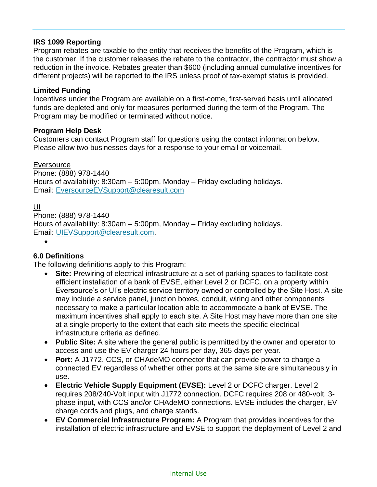# **IRS 1099 Reporting**

Program rebates are taxable to the entity that receives the benefits of the Program, which is the customer. If the customer releases the rebate to the contractor, the contractor must show a reduction in the invoice. Rebates greater than \$600 (including annual cumulative incentives for different projects) will be reported to the IRS unless proof of tax-exempt status is provided.

## **Limited Funding**

Incentives under the Program are available on a first-come, first-served basis until allocated funds are depleted and only for measures performed during the term of the Program. The Program may be modified or terminated without notice.

## **Program Help Desk**

Customers can contact Program staff for questions using the contact information below. Please allow two businesses days for a response to your email or voicemail.

**Eversource** 

Phone: (888) 978-1440 Hours of availability: 8:30am – 5:00pm, Monday – Friday excluding holidays. Email: [EversourceEVSupport@clearesult.com](mailto:EversourceEVSupport@clearesult.com)

#### UI

Phone: (888) 978-1440 Hours of availability: 8:30am – 5:00pm, Monday – Friday excluding holidays. Email: [UIEVSupport@clearesult.com.](mailto:UIEVSupport@clearesult.com)

•

## **6.0 Definitions**

The following definitions apply to this Program:

- **Site:** Prewiring of electrical infrastructure at a set of parking spaces to facilitate costefficient installation of a bank of EVSE, either Level 2 or DCFC, on a property within Eversource's or UI's electric service territory owned or controlled by the Site Host. A site may include a service panel, junction boxes, conduit, wiring and other components necessary to make a particular location able to accommodate a bank of EVSE. The maximum incentives shall apply to each site. A Site Host may have more than one site at a single property to the extent that each site meets the specific electrical infrastructure criteria as defined.
- **Public Site:** A site where the general public is permitted by the owner and operator to access and use the EV charger 24 hours per day, 365 days per year.
- **Port:** A J1772, CCS, or CHAdeMO connector that can provide power to charge a connected EV regardless of whether other ports at the same site are simultaneously in use.
- **Electric Vehicle Supply Equipment (EVSE):** Level 2 or DCFC charger. Level 2 requires 208/240-Volt input with J1772 connection. DCFC requires 208 or 480-volt, 3 phase input, with CCS and/or CHAdeMO connections. EVSE includes the charger, EV charge cords and plugs, and charge stands.
- **EV Commercial Infrastructure Program:** A Program that provides incentives for the installation of electric infrastructure and EVSE to support the deployment of Level 2 and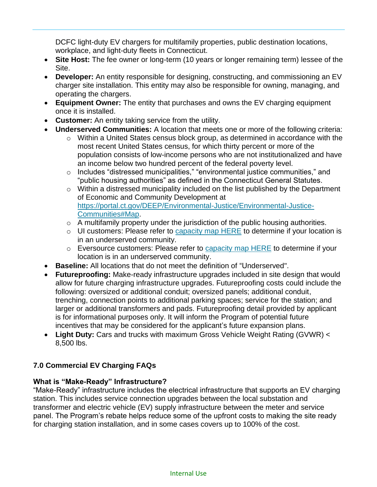DCFC light-duty EV chargers for multifamily properties, public destination locations, workplace, and light-duty fleets in Connecticut.

- **Site Host:** The fee owner or long-term (10 years or longer remaining term) lessee of the Site.
- **Developer:** An entity responsible for designing, constructing, and commissioning an EV charger site installation. This entity may also be responsible for owning, managing, and operating the chargers.
- **Equipment Owner:** The entity that purchases and owns the EV charging equipment once it is installed.
- **Customer:** An entity taking service from the utility.
- **Underserved Communities:** A location that meets one or more of the following criteria:
	- o Within a United States census block group, as determined in accordance with the most recent United States census, for which thirty percent or more of the population consists of low-income persons who are not institutionalized and have an income below two hundred percent of the federal poverty level.
	- o Includes "distressed municipalities," "environmental justice communities," and "public housing authorities" as defined in the Connecticut General Statutes.
	- o Within a distressed municipality included on the list published by the Department of Economic and Community Development at [https://portal.ct.gov/DEEP/Environmental-Justice/Environmental-Justice-](https://portal.ct.gov/DEEP/Environmental-Justice/Environmental-Justice-Communities#Map)[Communities#Map.](https://portal.ct.gov/DEEP/Environmental-Justice/Environmental-Justice-Communities#Map)
	- $\circ$  A multifamily property under the jurisdiction of the public housing authorities.
	- o UI customers: Please refer to [capacity map](https://www.arcgis.com/apps/webappviewer/index.html?id=b5fe4d1060b14b14893a880ddb1e10c8) HERE to determine if your location is in an underserved community.
	- o Eversource customers: Please refer to [capacity map HERE](https://eversource.maps.arcgis.com/apps/webappviewer/index.html?id=6853bd7a3f714868bda7fee7c24d8c59) to determine if your location is in an underserved community.
- **Baseline:** All locations that do not meet the definition of "Underserved".
- **Futureproofing:** Make-ready infrastructure upgrades included in site design that would allow for future charging infrastructure upgrades. Futureproofing costs could include the following: oversized or additional conduit; oversized panels; additional conduit, trenching, connection points to additional parking spaces; service for the station; and larger or additional transformers and pads. Futureproofing detail provided by applicant is for informational purposes only. It will inform the Program of potential future incentives that may be considered for the applicant's future expansion plans.
- Light Duty: Cars and trucks with maximum Gross Vehicle Weight Rating (GVWR) < 8,500 lbs.

# **7.0 Commercial EV Charging FAQs**

# **What is "Make-Ready" Infrastructure?**

"Make-Ready" infrastructure includes the electrical infrastructure that supports an EV charging station. This includes service connection upgrades between the local substation and transformer and electric vehicle (EV) supply infrastructure between the meter and service panel. The Program's rebate helps reduce some of the upfront costs to making the site ready for charging station installation, and in some cases covers up to 100% of the cost.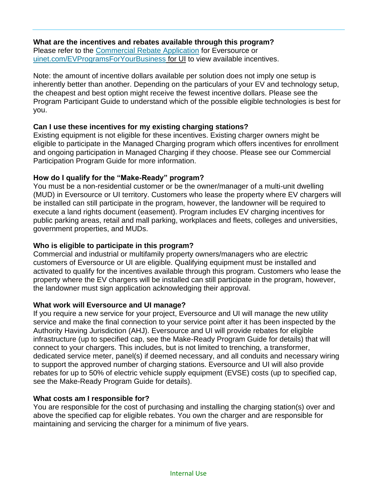## **What are the incentives and rebates available through this program?**

Please refer to the [Commercial Rebate Application](https://www.eversource.com/content/ct-c/business/save-money-energy/clean-energy-options/business-ev-charging) for Eversource or [uinet.com/EVProgramsForYourBusiness](https://www.uinet.com/wps/portal/uinet/smartenergy/electric_vehicles/evprogramsforbusiness/!ut/p/z1/vZPJbsIwEIafpQeOkZ0FEo4hCkubhC37JXKDkxiRBcdQ-vY1EpRKbUlVqfXNo5nf38z8BjEIQVyhI8kRI3WFdvwexYNEFm1zqhjQ0WZKHy7na9t5slwJWhII7iYMZBD_pB5-c3TYVe-DGMRpxRpWgOhAKsxQTpNbDz1YYLTBtAfbElGGK0zz1x7EO5wyStLkiAuS7nDLQ8eG1jlFZZvV9PnQcq22Pas3KdmAaKMgeZBhSejjVBQUDWbCMIV9IVOwMhQlVdmo4jk7MOxkYs1HupUYc8c1QxdEPejNHNPVJ6vE-UA2vZCtz2Tmhcy8kvnvZKa_uJCNazq6kgVdq4nvDzY403bsrksj4gzqTQH6M5Er2GNlOZpLmqWC4EjwC_CqmpbcTevfjXPpmSv-0r9NdgrBY5fv-MeQqG3YOW8IsUIgVVaD8JOteOhLW_Fyst3vY52bt64YPjEQ_oF7m9LzSk0uhRBu-3mpnYRJsLD0hzfBqwx3/dz/d5/L2dBISEvZ0FBIS9nQSEh/?WCM_GLOBAL_CONTEXT=%2FUINETAGR_Navigation%2FHeader%2FSmartEnergy%2FElectric_Vehicles%2FEVProgramsForBusiness) for UI to view available incentives.

Note: the amount of incentive dollars available per solution does not imply one setup is inherently better than another. Depending on the particulars of your EV and technology setup, the cheapest and best option might receive the fewest incentive dollars. Please see the Program Participant Guide to understand which of the possible eligible technologies is best for you.

# **Can I use these incentives for my existing charging stations?**

Existing equipment is not eligible for these incentives. Existing charger owners might be eligible to participate in the Managed Charging program which offers incentives for enrollment and ongoing participation in Managed Charging if they choose. Please see our Commercial Participation Program Guide for more information.

# **How do I qualify for the "Make-Ready" program?**

You must be a non-residential customer or be the owner/manager of a multi-unit dwelling (MUD) in Eversource or UI territory. Customers who lease the property where EV chargers will be installed can still participate in the program, however, the landowner will be required to execute a land rights document (easement). Program includes EV charging incentives for public parking areas, retail and mall parking, workplaces and fleets, colleges and universities, government properties, and MUDs.

# **Who is eligible to participate in this program?**

Commercial and industrial or multifamily property owners/managers who are electric customers of Eversource or UI are eligible. Qualifying equipment must be installed and activated to qualify for the incentives available through this program. Customers who lease the property where the EV chargers will be installed can still participate in the program, however, the landowner must sign application acknowledging their approval.

## **What work will Eversource and UI manage?**

If you require a new service for your project, Eversource and UI will manage the new utility service and make the final connection to your service point after it has been inspected by the Authority Having Jurisdiction (AHJ). Eversource and UI will provide rebates for eligible infrastructure (up to specified cap, see the Make-Ready Program Guide for details) that will connect to your chargers. This includes, but is not limited to trenching, a transformer, dedicated service meter, panel(s) if deemed necessary, and all conduits and necessary wiring to support the approved number of charging stations. Eversource and UI will also provide rebates for up to 50% of electric vehicle supply equipment (EVSE) costs (up to specified cap, see the Make-Ready Program Guide for details).

## **What costs am I responsible for?**

You are responsible for the cost of purchasing and installing the charging station(s) over and above the specified cap for eligible rebates. You own the charger and are responsible for maintaining and servicing the charger for a minimum of five years.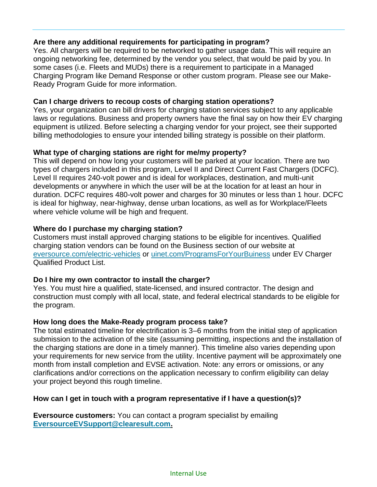# **Are there any additional requirements for participating in program?**

Yes. All chargers will be required to be networked to gather usage data. This will require an ongoing networking fee, determined by the vendor you select, that would be paid by you. In some cases (i.e. Fleets and MUDs) there is a requirement to participate in a Managed Charging Program like Demand Response or other custom program. Please see our Make-Ready Program Guide for more information.

## **Can I charge drivers to recoup costs of charging station operations?**

Yes, your organization can bill drivers for charging station services subject to any applicable laws or regulations. Business and property owners have the final say on how their EV charging equipment is utilized. Before selecting a charging vendor for your project, see their supported billing methodologies to ensure your intended billing strategy is possible on their platform.

# **What type of charging stations are right for me/my property?**

This will depend on how long your customers will be parked at your location. There are two types of chargers included in this program, Level II and Direct Current Fast Chargers (DCFC). Level II requires 240-volt power and is ideal for workplaces, destination, and multi-unit developments or anywhere in which the user will be at the location for at least an hour in duration. DCFC requires 480-volt power and charges for 30 minutes or less than 1 hour. DCFC is ideal for highway, near-highway, dense urban locations, as well as for Workplace/Fleets where vehicle volume will be high and frequent.

# **Where do I purchase my charging station?**

Customers must install approved charging stations to be eligible for incentives. Qualified charging station vendors can be found on the Business section of our website at [eversource.com/electric-vehicles](https://www.eversource.com/content/ct-c/business/save-money-energy/clean-energy-options/business-ev-charging) or [uinet.com/ProgramsForYourBuiness](https://www.uinet.com/wps/portal/uinet/smartenergy/electric_vehicles/evprogramsforbusiness/!ut/p/z1/vZPJbsIwEIafpQeOkZ0FEo4hCkubhC37JXKDkxiRBcdQ-vY1EpRKbUlVqfXNo5nf38z8BjEIQVyhI8kRI3WFdvwexYNEFm1zqhjQ0WZKHy7na9t5slwJWhII7iYMZBD_pB5-c3TYVe-DGMRpxRpWgOhAKsxQTpNbDz1YYLTBtAfbElGGK0zz1x7EO5wyStLkiAuS7nDLQ8eG1jlFZZvV9PnQcq22Pas3KdmAaKMgeZBhSejjVBQUDWbCMIV9IVOwMhQlVdmo4jk7MOxkYs1HupUYc8c1QxdEPejNHNPVJ6vE-UA2vZCtz2Tmhcy8kvnvZKa_uJCNazq6kgVdq4nvDzY403bsrksj4gzqTQH6M5Er2GNlOZpLmqWC4EjwC_CqmpbcTevfjXPpmSv-0r9NdgrBY5fv-MeQqG3YOW8IsUIgVVaD8JOteOhLW_Fyst3vY52bt64YPjEQ_oF7m9LzSk0uhRBu-3mpnYRJsLD0hzfBqwx3/dz/d5/L2dBISEvZ0FBIS9nQSEh/?WCM_GLOBAL_CONTEXT=%2FUINETAGR_Navigation%2FHeader%2FSmartEnergy%2FElectric_Vehicles%2FEVProgramsForBusiness) under EV Charger Qualified Product List.

## **Do I hire my own contractor to install the charger?**

Yes. You must hire a qualified, state-licensed, and insured contractor. The design and construction must comply with all local, state, and federal electrical standards to be eligible for the program.

## **How long does the Make-Ready program process take?**

The total estimated timeline for electrification is 3–6 months from the initial step of application submission to the activation of the site (assuming permitting, inspections and the installation of the charging stations are done in a timely manner). This timeline also varies depending upon your requirements for new service from the utility. Incentive payment will be approximately one month from install completion and EVSE activation. Note: any errors or omissions, or any clarifications and/or corrections on the application necessary to confirm eligibility can delay your project beyond this rough timeline.

## **How can I get in touch with a program representative if I have a question(s)?**

**Eversource customers:** You can contact a program specialist by emailing **[EversourceEVSupport@clearesult.com.](mailto:EversourceEVSupport@clearesult.com)**